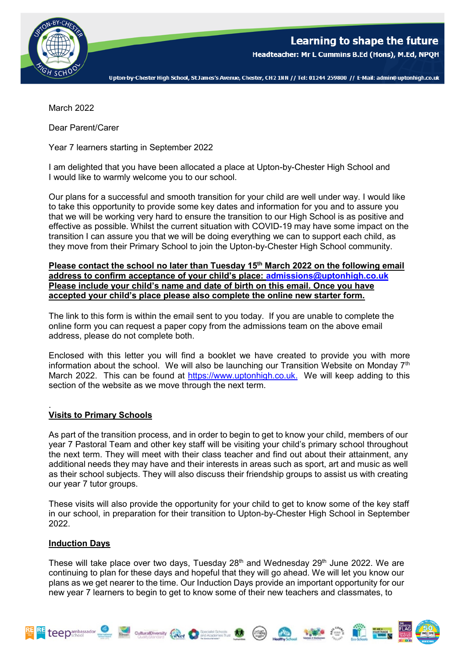

Upton-by-Chester High School, St James's Avenue, Chester, CH2 1NN // Tel: 01244 259800 // E-Mail: admin@uptonhigh.co.uk

March 2022

Dear Parent/Carer

Year 7 learners starting in September 2022

I am delighted that you have been allocated a place at Upton-by-Chester High School and I would like to warmly welcome you to our school.

Our plans for a successful and smooth transition for your child are well under way. I would like to take this opportunity to provide some key dates and information for you and to assure you that we will be working very hard to ensure the transition to our High School is as positive and effective as possible. Whilst the current situation with COVID-19 may have some impact on the transition I can assure you that we will be doing everything we can to support each child, as they move from their Primary School to join the Upton-by-Chester High School community.

**Please contact the school no later than Tuesday 15th March 2022 on the following email address to confirm acceptance of your child's place: [admissions@uptonhigh.co.uk](mailto:admissions@uptonhigh.co.uk) Please include your child's name and date of birth on this email. Once you have accepted your child's place please also complete the online new starter form.** 

The link to this form is within the email sent to you today. If you are unable to complete the online form you can request a paper copy from the admissions team on the above email address, please do not complete both.

Enclosed with this letter you will find a booklet we have created to provide you with more information about the school. We will also be launching our Transition Website on Monday  $7<sup>th</sup>$ March 2022. This can be found at [https://www.uptonhigh.co.uk.](https://www.uptonhigh.co.uk/) We will keep adding to this section of the website as we move through the next term.

## . **Visits to Primary Schools**

As part of the transition process, and in order to begin to get to know your child, members of our year 7 Pastoral Team and other key staff will be visiting your child's primary school throughout the next term. They will meet with their class teacher and find out about their attainment, any additional needs they may have and their interests in areas such as sport, art and music as well as their school subjects. They will also discuss their friendship groups to assist us with creating our year 7 tutor groups.

These visits will also provide the opportunity for your child to get to know some of the key staff in our school, in preparation for their transition to Upton-by-Chester High School in September 2022.

## **Induction Days**

RE teepambassador

These will take place over two days, Tuesday  $28<sup>th</sup>$  and Wednesday  $29<sup>th</sup>$  June 2022. We are continuing to plan for these days and hopeful that they will go ahead. We will let you know our plans as we get nearer to the time. Our Induction Days provide an important opportunity for our new year 7 learners to begin to get to know some of their new teachers and classmates, to

CulturalDiversity (Wet Constantine to Constitute of Constantine League Constantine League Constantine League Constantine League Constantine League Constantine League Constantine League Constantine League Constantine League